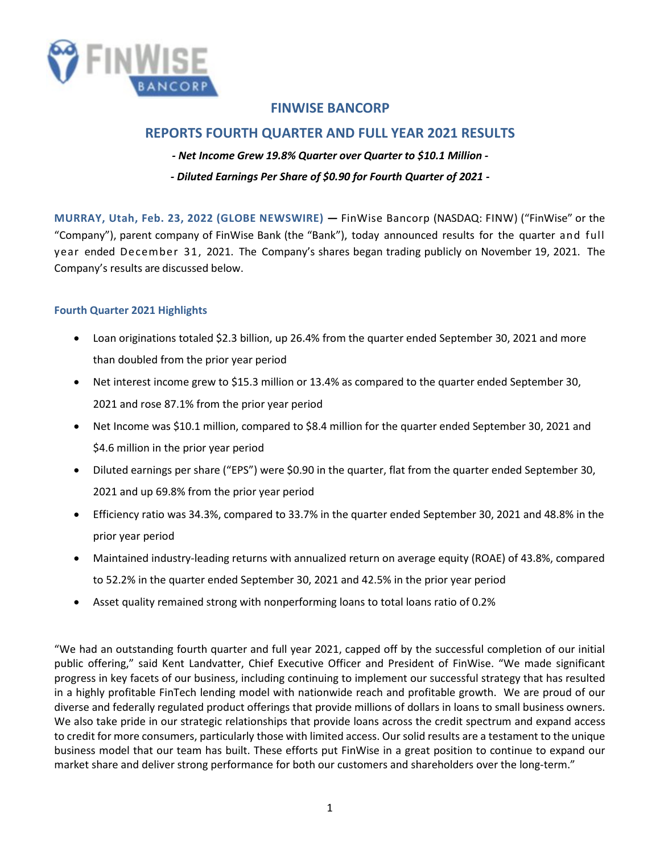

# **REPORTS FOURTH QUARTER AND FULL YEAR 2021 RESULTS**

- *Net Income Grew 19.8% Quarter over Quarter to \$10.1 Million*
- *Diluted Earnings Per Share of \$0.90 for Fourth Quarter of 2021*

**MURRAY, Utah, Feb. 23, 2022 (GLOBE NEWSWIRE) —** FinWise Bancorp (NASDAQ: FINW) ("FinWise" or the "Company"), parent company of FinWise Bank (the "Bank"), today announced results for the quarter and full year ended December 31, 2021. The Company's shares began trading publicly on November 19, 2021. The Company's results are discussed below.

### **Fourth Quarter 2021 Highlights**

- Loan originations totaled \$2.3 billion, up 26.4% from the quarter ended September 30, 2021 and more than doubled from the prior year period
- Net interest income grew to \$15.3 million or 13.4% as compared to the quarter ended September 30, 2021 and rose 87.1% from the prior year period
- Net Income was \$10.1 million, compared to \$8.4 million for the quarter ended September 30, 2021 and \$4.6 million in the prior year period
- Diluted earnings per share ("EPS") were \$0.90 in the quarter, flat from the quarter ended September 30, 2021 and up 69.8% from the prior year period
- Efficiency ratio was 34.3%, compared to 33.7% in the quarter ended September 30, 2021 and 48.8% in the prior year period
- Maintained industry-leading returns with annualized return on average equity (ROAE) of 43.8%, compared to 52.2% in the quarter ended September 30, 2021 and 42.5% in the prior year period
- Asset quality remained strong with nonperforming loans to total loans ratio of 0.2%

"We had an outstanding fourth quarter and full year 2021, capped off by the successful completion of our initial public offering," said Kent Landvatter, Chief Executive Officer and President of FinWise. "We made significant progress in key facets of our business, including continuing to implement our successful strategy that has resulted in a highly profitable FinTech lending model with nationwide reach and profitable growth. We are proud of our diverse and federally regulated product offerings that provide millions of dollars in loans to small business owners. We also take pride in our strategic relationships that provide loans across the credit spectrum and expand access to credit for more consumers, particularly those with limited access. Our solid results are a testament to the unique business model that our team has built. These efforts put FinWise in a great position to continue to expand our market share and deliver strong performance for both our customers and shareholders over the long-term."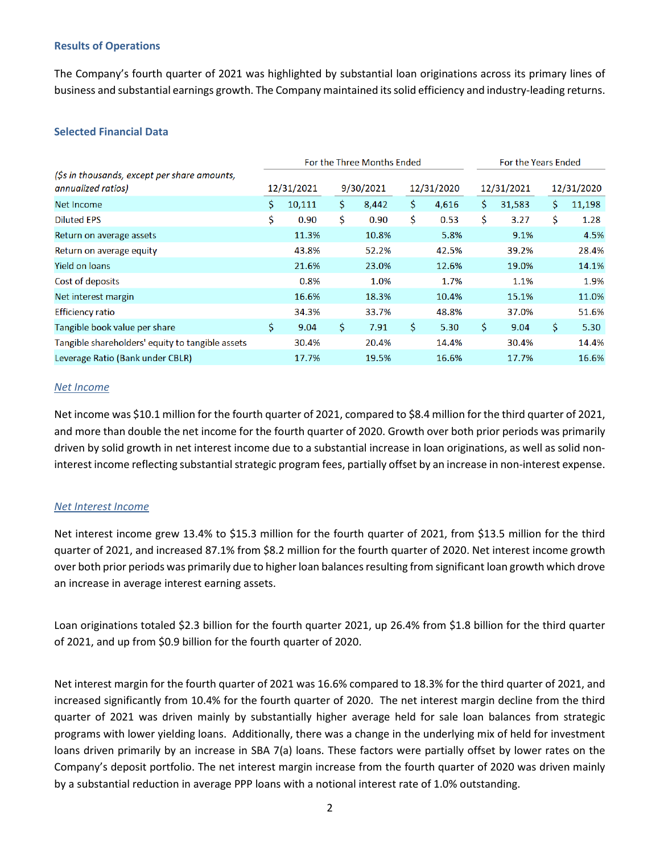#### **Results of Operations**

The Company's fourth quarter of 2021 was highlighted by substantial loan originations across its primary lines of business and substantial earnings growth. The Company maintained its solid efficiency and industry-leading returns.

#### **Selected Financial Data**

|                                                                    |     |            | For the Three Months Ended | For the Years Ended |     |            |    |            |            |        |
|--------------------------------------------------------------------|-----|------------|----------------------------|---------------------|-----|------------|----|------------|------------|--------|
| (\$s in thousands, except per share amounts,<br>annualized ratios) |     | 12/31/2021 |                            | 9/30/2021           |     | 12/31/2020 |    | 12/31/2021 | 12/31/2020 |        |
| Net Income                                                         | \$. | 10,111     | \$.                        | 8,442               | \$. | 4,616      | \$ | 31,583     |            | 11,198 |
| <b>Diluted EPS</b>                                                 | \$  | 0.90       | Ś.                         | 0.90                | \$  | 0.53       | \$ | 3.27       | \$.        | 1.28   |
| Return on average assets                                           |     | 11.3%      |                            | 10.8%               |     | 5.8%       |    | 9.1%       |            | 4.5%   |
| Return on average equity                                           |     | 43.8%      |                            | 52.2%               |     | 42.5%      |    | 39.2%      |            | 28.4%  |
| Yield on loans                                                     |     | 21.6%      |                            | 23.0%               |     | 12.6%      |    | 19.0%      |            | 14.1%  |
| Cost of deposits                                                   |     | 0.8%       |                            | 1.0%                |     | 1.7%       |    | 1.1%       |            | 1.9%   |
| Net interest margin                                                |     | 16.6%      |                            | 18.3%               |     | 10.4%      |    | 15.1%      |            | 11.0%  |
| <b>Efficiency ratio</b>                                            |     | 34.3%      |                            | 33.7%               |     | 48.8%      |    | 37.0%      |            | 51.6%  |
| Tangible book value per share                                      | \$. | 9.04       | \$.                        | 7.91                | \$  | 5.30       | \$ | 9.04       | \$.        | 5.30   |
| Tangible shareholders' equity to tangible assets                   |     | 30.4%      |                            | 20.4%               |     | 14.4%      |    | 30.4%      |            | 14.4%  |
| Leverage Ratio (Bank under CBLR)                                   |     | 17.7%      |                            | 19.5%               |     | 16.6%      |    | 17.7%      |            | 16.6%  |

#### *Net Income*

Net income was \$10.1 million for the fourth quarter of 2021, compared to \$8.4 million for the third quarter of 2021, and more than double the net income for the fourth quarter of 2020. Growth over both prior periods was primarily driven by solid growth in net interest income due to a substantial increase in loan originations, as well as solid noninterest income reflecting substantial strategic program fees, partially offset by an increase in non-interest expense.

#### *Net Interest Income*

Net interest income grew 13.4% to \$15.3 million for the fourth quarter of 2021, from \$13.5 million for the third quarter of 2021, and increased 87.1% from \$8.2 million for the fourth quarter of 2020. Net interest income growth over both prior periods was primarily due to higher loan balances resulting from significant loan growth which drove an increase in average interest earning assets.

Loan originations totaled \$2.3 billion for the fourth quarter 2021, up 26.4% from \$1.8 billion for the third quarter of 2021, and up from \$0.9 billion for the fourth quarter of 2020.

Net interest margin for the fourth quarter of 2021 was 16.6% compared to 18.3% for the third quarter of 2021, and increased significantly from 10.4% for the fourth quarter of 2020. The net interest margin decline from the third quarter of 2021 was driven mainly by substantially higher average held for sale loan balances from strategic programs with lower yielding loans. Additionally, there was a change in the underlying mix of held for investment loans driven primarily by an increase in SBA 7(a) loans. These factors were partially offset by lower rates on the Company's deposit portfolio. The net interest margin increase from the fourth quarter of 2020 was driven mainly by a substantial reduction in average PPP loans with a notional interest rate of 1.0% outstanding.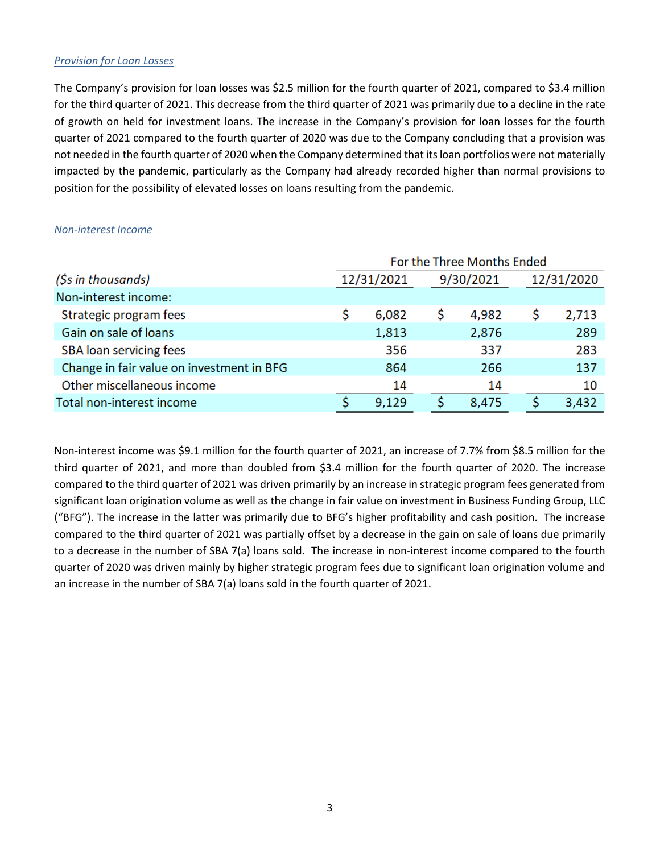#### *Provision for Loan Losses*

The Company's provision for loan losses was \$2.5 million for the fourth quarter of 2021, compared to \$3.4 million for the third quarter of 2021. This decrease from the third quarter of 2021 was primarily due to a decline in the rate of growth on held for investment loans. The increase in the Company's provision for loan losses for the fourth quarter of 2021 compared to the fourth quarter of 2020 was due to the Company concluding that a provision was not needed in the fourth quarter of 2020 when the Company determined that its loan portfolios were not materially impacted by the pandemic, particularly as the Company had already recorded higher than normal provisions to position for the possibility of elevated losses on loans resulting from the pandemic.

|                                           |            | For the Three Months Ended |       |  |            |
|-------------------------------------------|------------|----------------------------|-------|--|------------|
| (\$s in thousands)                        | 12/31/2021 | 9/30/2021                  |       |  | 12/31/2020 |
| Non-interest income:                      |            |                            |       |  |            |
| Strategic program fees                    | 6,082      |                            | 4,982 |  | 2,713      |
| Gain on sale of loans                     | 1,813      |                            | 2,876 |  | 289        |
| <b>SBA</b> loan servicing fees            | 356        |                            | 337   |  | 283        |
| Change in fair value on investment in BFG | 864        |                            | 266   |  | 137        |
| Other miscellaneous income                | 14         |                            | 14    |  | 10         |
| Total non-interest income                 | 9,129      |                            | 8,475 |  | 3,432      |

#### *Non-interest Income*

Non-interest income was \$9.1 million for the fourth quarter of 2021, an increase of 7.7% from \$8.5 million for the third quarter of 2021, and more than doubled from \$3.4 million for the fourth quarter of 2020. The increase compared to the third quarter of 2021 was driven primarily by an increase in strategic program fees generated from significant loan origination volume as well as the change in fair value on investment in Business Funding Group, LLC ("BFG"). The increase in the latter was primarily due to BFG's higher profitability and cash position. The increase compared to the third quarter of 2021 was partially offset by a decrease in the gain on sale of loans due primarily to a decrease in the number of SBA 7(a) loans sold. The increase in non-interest income compared to the fourth quarter of 2020 was driven mainly by higher strategic program fees due to significant loan origination volume and an increase in the number of SBA 7(a) loans sold in the fourth quarter of 2021.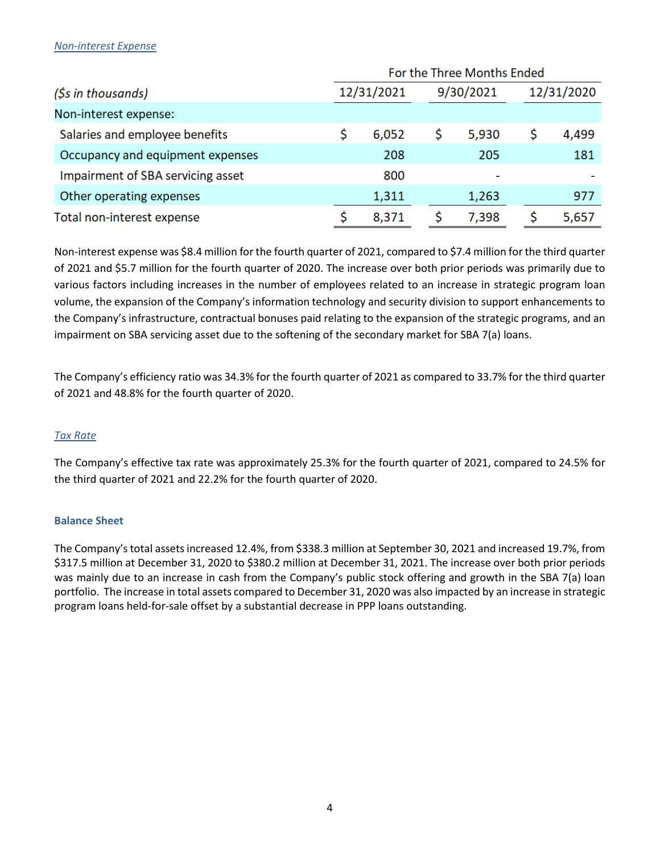#### *Non-interest Expense*

|                                   | For the Three Months Ended |            |           |       |   |            |  |  |  |  |  |
|-----------------------------------|----------------------------|------------|-----------|-------|---|------------|--|--|--|--|--|
| (\$s in thousands)                |                            | 12/31/2021 | 9/30/2021 |       |   | 12/31/2020 |  |  |  |  |  |
| Non-interest expense:             |                            |            |           |       |   |            |  |  |  |  |  |
| Salaries and employee benefits    |                            | 6,052      |           | 5,930 | s | 4,499      |  |  |  |  |  |
| Occupancy and equipment expenses  |                            | 208        |           | 205   |   | 181        |  |  |  |  |  |
| Impairment of SBA servicing asset |                            | 800        |           | -     |   |            |  |  |  |  |  |
| Other operating expenses          |                            | 1,311      |           | 1,263 |   | 977        |  |  |  |  |  |
| Total non-interest expense        |                            | 8,371      |           | 7,398 |   | 5,657      |  |  |  |  |  |

Non-interest expense was \$8.4 million for the fourth quarter of 2021, compared to \$7.4 million for the third quarter of 2021 and \$5.7 million for the fourth quarter of 2020. The increase over both prior periods was primarily due to various factors including increases in the number of employees related to an increase in strategic program loan volume, the expansion of the Company's information technology and security division to support enhancements to the Company's infrastructure, contractual bonuses paid relating to the expansion of the strategic programs, and an impairment on SBA servicing asset due to the softening of the secondary market for SBA 7(a) loans.

The Company's efficiency ratio was 34.3% for the fourth quarter of 2021 as compared to 33.7% for the third quarter of 2021 and 48.8% for the fourth quarter of 2020.

#### *Tax Rate*

The Company's effective tax rate was approximately 25.3% for the fourth quarter of 2021, compared to 24.5% for the third quarter of 2021 and 22.2% for the fourth quarter of 2020.

#### **Balance Sheet**

The Company's total assets increased 12.4%, from \$338.3 million at September 30, 2021 and increased 19.7%, from \$317.5 million at December 31, 2020 to \$380.2 million at December 31, 2021. The increase over both prior periods was mainly due to an increase in cash from the Company's public stock offering and growth in the SBA 7(a) loan portfolio. The increase in total assets compared to December 31, 2020 was also impacted by an increase in strategic program loans held-for-sale offset by a substantial decrease in PPP loans outstanding.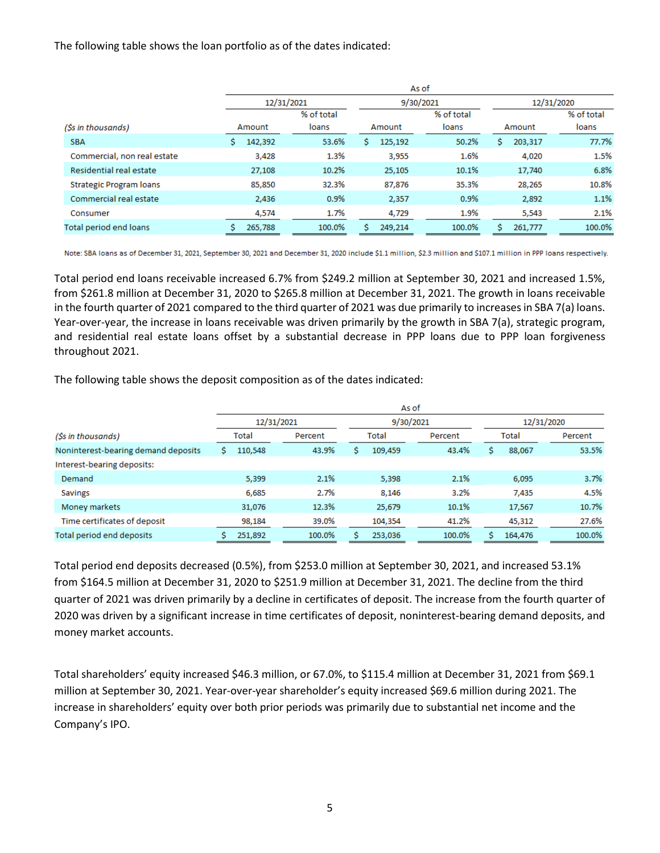The following table shows the loan portfolio as of the dates indicated:

|                                | As of      |            |              |            |              |            |  |  |  |  |  |  |  |
|--------------------------------|------------|------------|--------------|------------|--------------|------------|--|--|--|--|--|--|--|
|                                | 12/31/2021 |            | 9/30/2021    |            | 12/31/2020   |            |  |  |  |  |  |  |  |
|                                |            | % of total |              | % of total |              | % of total |  |  |  |  |  |  |  |
| (Ss in thousands)              | Amount     | loans      | Amount       | loans      | Amount       | loans      |  |  |  |  |  |  |  |
| <b>SBA</b>                     | 142,392    | 53.6%      | 125,192<br>s | 50.2%      | 203,317<br>s | 77.7%      |  |  |  |  |  |  |  |
| Commercial, non real estate    | 3,428      | 1.3%       | 3,955        | 1.6%       | 4,020        | 1.5%       |  |  |  |  |  |  |  |
| Residential real estate        | 27,108     | 10.2%      | 25,105       | 10.1%      | 17,740       | 6.8%       |  |  |  |  |  |  |  |
| <b>Strategic Program loans</b> | 85,850     | 32.3%      | 87,876       | 35.3%      | 28,265       | 10.8%      |  |  |  |  |  |  |  |
| Commercial real estate         | 2,436      | 0.9%       | 2,357        | 0.9%       | 2,892        | 1.1%       |  |  |  |  |  |  |  |
| Consumer                       | 4,574      | 1.7%       | 4,729        | 1.9%       | 5,543        | 2.1%       |  |  |  |  |  |  |  |
| <b>Total period end loans</b>  | 265,788    | 100.0%     | S<br>249,214 | 100.0%     | Ś<br>261,777 | 100.0%     |  |  |  |  |  |  |  |

Note: SBA loans as of December 31, 2021, September 30, 2021 and December 31, 2020 include \$1.1 million, \$2.3 million and \$107.1 million in PPP loans respectively.

Total period end loans receivable increased 6.7% from \$249.2 million at September 30, 2021 and increased 1.5%, from \$261.8 million at December 31, 2020 to \$265.8 million at December 31, 2021. The growth in loans receivable in the fourth quarter of 2021 compared to the third quarter of 2021 was due primarily to increases in SBA 7(a) loans. Year-over-year, the increase in loans receivable was driven primarily by the growth in SBA 7(a), strategic program, and residential real estate loans offset by a substantial decrease in PPP loans due to PPP loan forgiveness throughout 2021.

The following table shows the deposit composition as of the dates indicated:

|                                     |                  |         | 12/31/2021 |         |   |         | 9/30/2021 |        |         | 12/31/2020 |        |  |  |       |         |
|-------------------------------------|------------------|---------|------------|---------|---|---------|-----------|--------|---------|------------|--------|--|--|-------|---------|
| (\$s in thousands)                  | Total            |         | Percent    |         |   |         | Total     |        | Percent |            |        |  |  | Total | Percent |
| Noninterest-bearing demand deposits | 43.9%<br>110,548 |         | s          | 109,459 |   | 43.4%   |           | 88,067 | 53.5%   |            |        |  |  |       |         |
| Interest-bearing deposits:          |                  |         |            |         |   |         |           |        |         |            |        |  |  |       |         |
| Demand                              |                  | 5,399   |            | 2.1%    |   | 5.398   |           | 2.1%   |         | 6,095      | 3.7%   |  |  |       |         |
| <b>Savings</b>                      |                  | 6,685   |            | 2.7%    |   | 8.146   |           | 3.2%   |         | 7.435      | 4.5%   |  |  |       |         |
| Money markets                       |                  | 31,076  |            | 12.3%   |   | 25,679  |           | 10.1%  |         | 17,567     | 10.7%  |  |  |       |         |
| Time certificates of deposit        |                  | 98,184  |            | 39.0%   |   | 104,354 |           | 41.2%  |         | 45,312     | 27.6%  |  |  |       |         |
| Total period end deposits           |                  | 251,892 |            | 100.0%  | s | 253,036 |           | 100.0% | s       | 164,476    | 100.0% |  |  |       |         |

Total period end deposits decreased (0.5%), from \$253.0 million at September 30, 2021, and increased 53.1% from \$164.5 million at December 31, 2020 to \$251.9 million at December 31, 2021. The decline from the third quarter of 2021 was driven primarily by a decline in certificates of deposit. The increase from the fourth quarter of 2020 was driven by a significant increase in time certificates of deposit, noninterest-bearing demand deposits, and money market accounts.

Total shareholders' equity increased \$46.3 million, or 67.0%, to \$115.4 million at December 31, 2021 from \$69.1 million at September 30, 2021. Year-over-year shareholder's equity increased \$69.6 million during 2021. The increase in shareholders' equity over both prior periods was primarily due to substantial net income and the Company's IPO.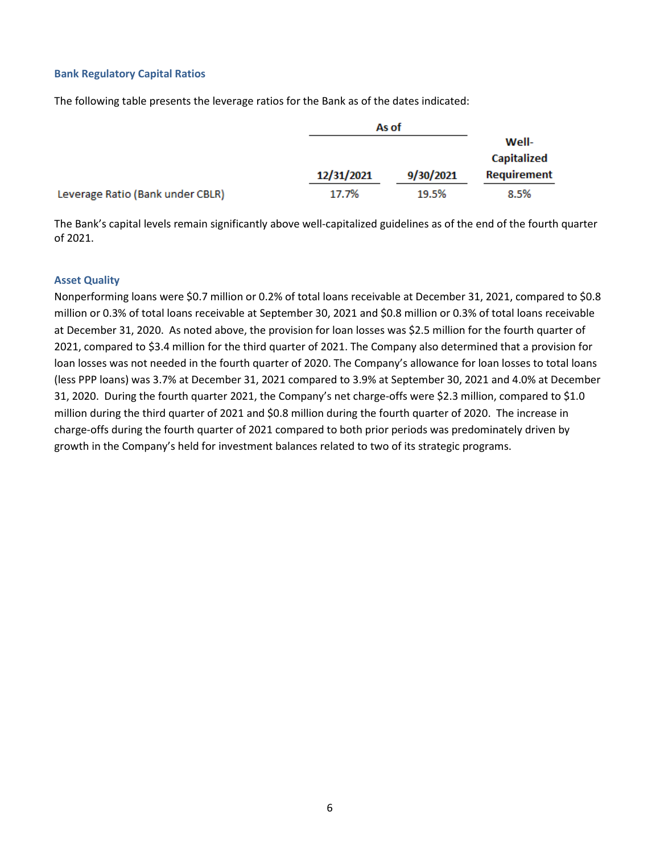#### **Bank Regulatory Capital Ratios**

The following table presents the leverage ratios for the Bank as of the dates indicated:

|                                  |            | As of     |                      |
|----------------------------------|------------|-----------|----------------------|
|                                  |            |           | Well-<br>Capitalized |
|                                  | 12/31/2021 | 9/30/2021 | <b>Requirement</b>   |
| Leverage Ratio (Bank under CBLR) | 17.7%      | 19.5%     | 8.5%                 |

The Bank's capital levels remain significantly above well-capitalized guidelines as of the end of the fourth quarter of 2021.

#### **Asset Quality**

Nonperforming loans were \$0.7 million or 0.2% of total loans receivable at December 31, 2021, compared to \$0.8 million or 0.3% of total loans receivable at September 30, 2021 and \$0.8 million or 0.3% of total loans receivable at December 31, 2020. As noted above, the provision for loan losses was \$2.5 million for the fourth quarter of 2021, compared to \$3.4 million for the third quarter of 2021. The Company also determined that a provision for loan losses was not needed in the fourth quarter of 2020. The Company's allowance for loan losses to total loans (less PPP loans) was 3.7% at December 31, 2021 compared to 3.9% at September 30, 2021 and 4.0% at December 31, 2020. During the fourth quarter 2021, the Company's net charge-offs were \$2.3 million, compared to \$1.0 million during the third quarter of 2021 and \$0.8 million during the fourth quarter of 2020. The increase in charge-offs during the fourth quarter of 2021 compared to both prior periods was predominately driven by growth in the Company's held for investment balances related to two of its strategic programs.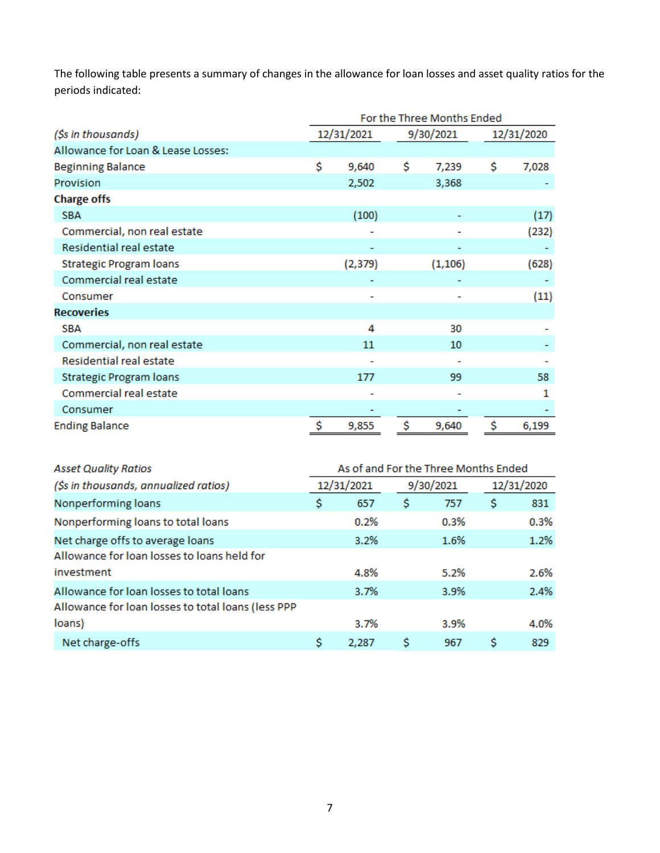The following table presents a summary of changes in the allowance for loan losses and asset quality ratios for the periods indicated:

|                                    | For the Three Months Ended |            |    |           |            |       |  |  |  |  |
|------------------------------------|----------------------------|------------|----|-----------|------------|-------|--|--|--|--|
| (\$s in thousands)                 |                            | 12/31/2021 |    | 9/30/2021 | 12/31/2020 |       |  |  |  |  |
| Allowance for Loan & Lease Losses: |                            |            |    |           |            |       |  |  |  |  |
| <b>Beginning Balance</b>           | \$                         | 9,640      | \$ | 7,239     | \$         | 7,028 |  |  |  |  |
| Provision                          |                            | 2,502      |    | 3,368     |            |       |  |  |  |  |
| <b>Charge offs</b>                 |                            |            |    |           |            |       |  |  |  |  |
| <b>SBA</b>                         |                            | (100)      |    |           |            | (17)  |  |  |  |  |
| Commercial, non real estate        |                            |            |    |           |            | (232) |  |  |  |  |
| Residential real estate            |                            |            |    |           |            |       |  |  |  |  |
| <b>Strategic Program loans</b>     |                            | (2, 379)   |    | (1, 106)  |            | (628) |  |  |  |  |
| Commercial real estate             |                            |            |    |           |            |       |  |  |  |  |
| Consumer                           |                            |            |    |           |            | (11)  |  |  |  |  |
| <b>Recoveries</b>                  |                            |            |    |           |            |       |  |  |  |  |
| <b>SBA</b>                         |                            | 4          |    | 30        |            |       |  |  |  |  |
| Commercial, non real estate        |                            | 11         |    | 10        |            |       |  |  |  |  |
| Residential real estate            |                            |            |    |           |            |       |  |  |  |  |
| <b>Strategic Program loans</b>     |                            | 177        |    | 99        |            | 58    |  |  |  |  |
| Commercial real estate             |                            |            |    |           |            | 1     |  |  |  |  |
| Consumer                           |                            |            |    |           |            |       |  |  |  |  |
| <b>Ending Balance</b>              | \$                         | 9,855      | \$ | 9,640     | \$         | 6,199 |  |  |  |  |

| As of and For the Three Months Ended<br><b>Asset Quality Ratios</b> |    |            |    |           |            |      |  |  |  |  |  |
|---------------------------------------------------------------------|----|------------|----|-----------|------------|------|--|--|--|--|--|
| (\$s in thousands, annualized ratios)                               |    | 12/31/2021 |    | 9/30/2021 | 12/31/2020 |      |  |  |  |  |  |
| Nonperforming loans                                                 | \$ | 657        | \$ | 757       | \$         | 831  |  |  |  |  |  |
| Nonperforming loans to total loans                                  |    | 0.2%       |    | 0.3%      |            | 0.3% |  |  |  |  |  |
| Net charge offs to average loans                                    |    | 3.2%       |    | 1.6%      |            | 1.2% |  |  |  |  |  |
| Allowance for loan losses to loans held for                         |    |            |    |           |            |      |  |  |  |  |  |
| investment                                                          |    | 4.8%       |    | 5.2%      |            | 2.6% |  |  |  |  |  |
| Allowance for loan losses to total loans                            |    | 3.7%       |    | 3.9%      |            | 2.4% |  |  |  |  |  |
| Allowance for loan losses to total loans (less PPP                  |    |            |    |           |            |      |  |  |  |  |  |
| loans)                                                              |    | 3.7%       |    | 3.9%      |            | 4.0% |  |  |  |  |  |
| Net charge-offs                                                     | s  | 2.287      | s  | 967       | s          | 829  |  |  |  |  |  |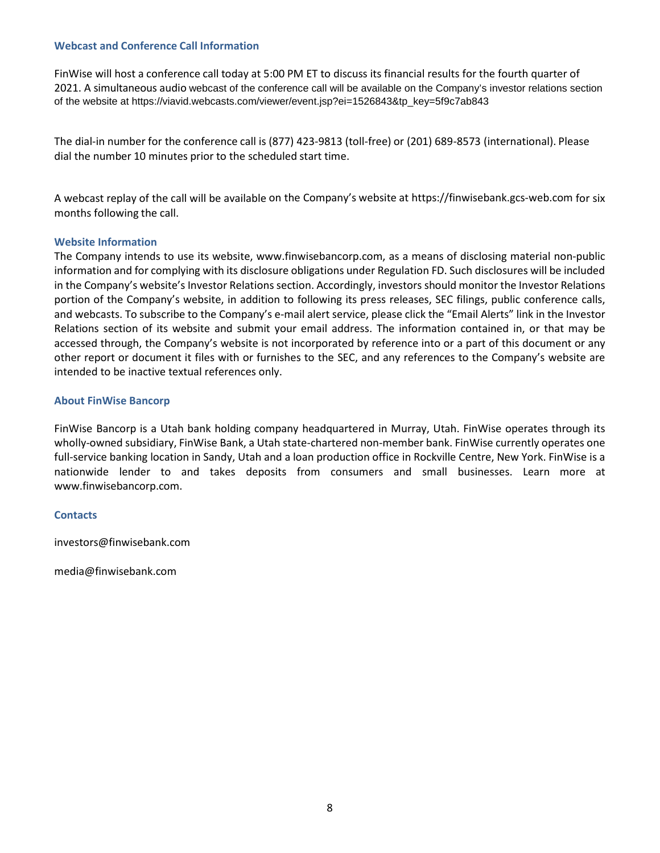#### **Webcast and Conference Call Information**

FinWise will host a conference call today at 5:00 PM ET to discuss its financial results for the fourth quarter of 2021. A simultaneous audio webcast of the conference call will be available on the Company's investor relations section of the website at https://viavid.webcasts.com/viewer/event.jsp?ei=1526843&tp\_key=5f9c7ab843

The dial-in number for the conference call is (877) 423-9813 (toll-free) or (201) 689-8573 (international). Please dial the number 10 minutes prior to the scheduled start time.

A webcast replay of the call will be available on the Company's website at https://finwisebank.gcs-web.com for six months following the call.

#### **Website Information**

The Company intends to use its website, www.finwisebancorp.com, as a means of disclosing material non-public information and for complying with its disclosure obligations under Regulation FD. Such disclosures will be included in the Company's website's Investor Relations section. Accordingly, investors should monitor the Investor Relations portion of the Company's website, in addition to following its press releases, SEC filings, public conference calls, and webcasts. To subscribe to the Company's e-mail alert service, please click the "Email Alerts" link in the Investor Relations section of its website and submit your email address. The information contained in, or that may be accessed through, the Company's website is not incorporated by reference into or a part of this document or any other report or document it files with or furnishes to the SEC, and any references to the Company's website are intended to be inactive textual references only.

#### **About FinWise Bancorp**

FinWise Bancorp is a Utah bank holding company headquartered in Murray, Utah. FinWise operates through its wholly-owned subsidiary, FinWise Bank, a Utah state-chartered non-member bank. FinWise currently operates one full-service banking location in Sandy, Utah and a loan production office in Rockville Centre, New York. FinWise is a nationwide lender to and takes deposits from consumers and small businesses. Learn more at www.finwisebancorp.com.

#### **Contacts**

investors@finwisebank.com

media@finwisebank.com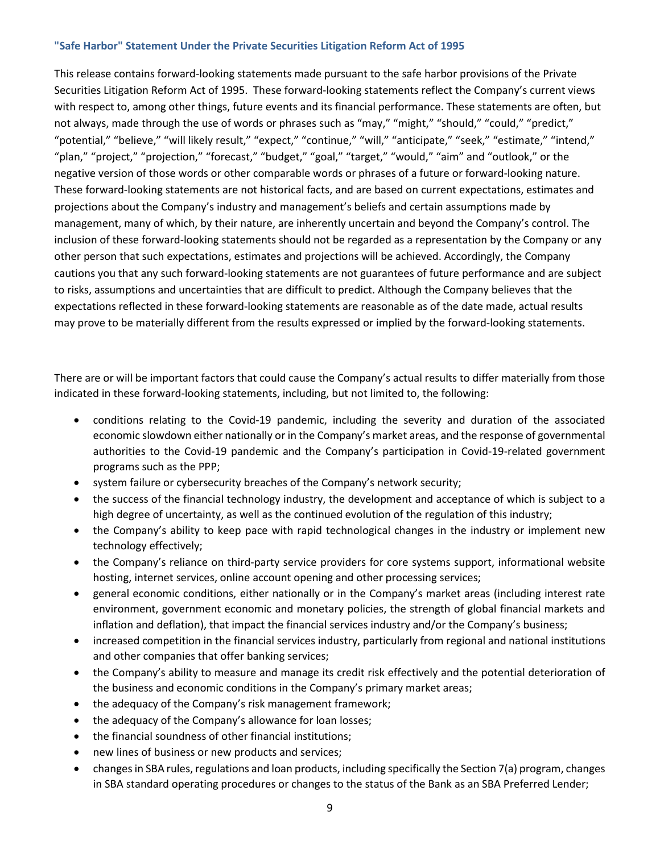#### **"Safe Harbor" Statement Under the Private Securities Litigation Reform Act of 1995**

This release contains forward-looking statements made pursuant to the safe harbor provisions of the Private Securities Litigation Reform Act of 1995. These forward-looking statements reflect the Company's current views with respect to, among other things, future events and its financial performance. These statements are often, but not always, made through the use of words or phrases such as "may," "might," "should," "could," "predict," "potential," "believe," "will likely result," "expect," "continue," "will," "anticipate," "seek," "estimate," "intend," "plan," "project," "projection," "forecast," "budget," "goal," "target," "would," "aim" and "outlook," or the negative version of those words or other comparable words or phrases of a future or forward-looking nature. These forward-looking statements are not historical facts, and are based on current expectations, estimates and projections about the Company's industry and management's beliefs and certain assumptions made by management, many of which, by their nature, are inherently uncertain and beyond the Company's control. The inclusion of these forward-looking statements should not be regarded as a representation by the Company or any other person that such expectations, estimates and projections will be achieved. Accordingly, the Company cautions you that any such forward-looking statements are not guarantees of future performance and are subject to risks, assumptions and uncertainties that are difficult to predict. Although the Company believes that the expectations reflected in these forward-looking statements are reasonable as of the date made, actual results may prove to be materially different from the results expressed or implied by the forward-looking statements.

There are or will be important factors that could cause the Company's actual results to differ materially from those indicated in these forward-looking statements, including, but not limited to, the following:

- conditions relating to the Covid-19 pandemic, including the severity and duration of the associated economic slowdown either nationally or in the Company's market areas, and the response of governmental authorities to the Covid-19 pandemic and the Company's participation in Covid-19-related government programs such as the PPP;
- system failure or cybersecurity breaches of the Company's network security;
- the success of the financial technology industry, the development and acceptance of which is subject to a high degree of uncertainty, as well as the continued evolution of the regulation of this industry;
- the Company's ability to keep pace with rapid technological changes in the industry or implement new technology effectively;
- the Company's reliance on third-party service providers for core systems support, informational website hosting, internet services, online account opening and other processing services;
- general economic conditions, either nationally or in the Company's market areas (including interest rate environment, government economic and monetary policies, the strength of global financial markets and inflation and deflation), that impact the financial services industry and/or the Company's business;
- increased competition in the financial services industry, particularly from regional and national institutions and other companies that offer banking services;
- the Company's ability to measure and manage its credit risk effectively and the potential deterioration of the business and economic conditions in the Company's primary market areas;
- the adequacy of the Company's risk management framework;
- the adequacy of the Company's allowance for loan losses;
- the financial soundness of other financial institutions;
- new lines of business or new products and services;
- changes in SBA rules, regulations and loan products, including specifically the Section 7(a) program, changes in SBA standard operating procedures or changes to the status of the Bank as an SBA Preferred Lender;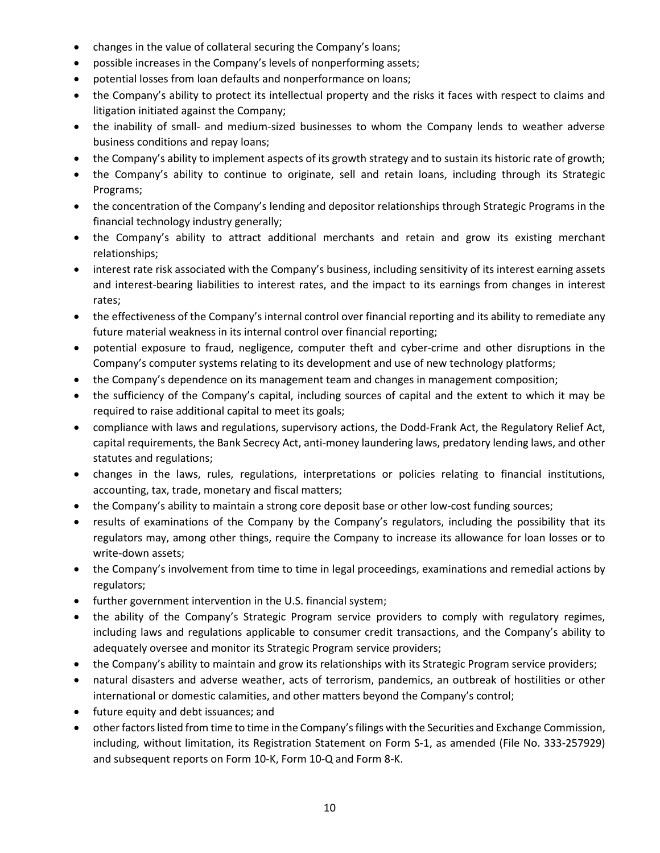- changes in the value of collateral securing the Company's loans;
- possible increases in the Company's levels of nonperforming assets;
- potential losses from loan defaults and nonperformance on loans;
- the Company's ability to protect its intellectual property and the risks it faces with respect to claims and litigation initiated against the Company;
- the inability of small- and medium-sized businesses to whom the Company lends to weather adverse business conditions and repay loans;
- the Company's ability to implement aspects of its growth strategy and to sustain its historic rate of growth;
- the Company's ability to continue to originate, sell and retain loans, including through its Strategic Programs;
- the concentration of the Company's lending and depositor relationships through Strategic Programs in the financial technology industry generally;
- the Company's ability to attract additional merchants and retain and grow its existing merchant relationships;
- interest rate risk associated with the Company's business, including sensitivity of its interest earning assets and interest-bearing liabilities to interest rates, and the impact to its earnings from changes in interest rates;
- the effectiveness of the Company's internal control over financial reporting and its ability to remediate any future material weakness in its internal control over financial reporting;
- potential exposure to fraud, negligence, computer theft and cyber-crime and other disruptions in the Company's computer systems relating to its development and use of new technology platforms;
- the Company's dependence on its management team and changes in management composition;
- the sufficiency of the Company's capital, including sources of capital and the extent to which it may be required to raise additional capital to meet its goals;
- compliance with laws and regulations, supervisory actions, the Dodd-Frank Act, the Regulatory Relief Act, capital requirements, the Bank Secrecy Act, anti-money laundering laws, predatory lending laws, and other statutes and regulations;
- changes in the laws, rules, regulations, interpretations or policies relating to financial institutions, accounting, tax, trade, monetary and fiscal matters;
- the Company's ability to maintain a strong core deposit base or other low-cost funding sources;
- results of examinations of the Company by the Company's regulators, including the possibility that its regulators may, among other things, require the Company to increase its allowance for loan losses or to write-down assets;
- the Company's involvement from time to time in legal proceedings, examinations and remedial actions by regulators;
- further government intervention in the U.S. financial system;
- the ability of the Company's Strategic Program service providers to comply with regulatory regimes, including laws and regulations applicable to consumer credit transactions, and the Company's ability to adequately oversee and monitor its Strategic Program service providers;
- the Company's ability to maintain and grow its relationships with its Strategic Program service providers;
- natural disasters and adverse weather, acts of terrorism, pandemics, an outbreak of hostilities or other international or domestic calamities, and other matters beyond the Company's control;
- future equity and debt issuances; and
- other factors listed from time to time in the Company's filings with the Securities and Exchange Commission, including, without limitation, its Registration Statement on Form S-1, as amended (File No. 333-257929) and subsequent reports on Form 10-K, Form 10-Q and Form 8-K.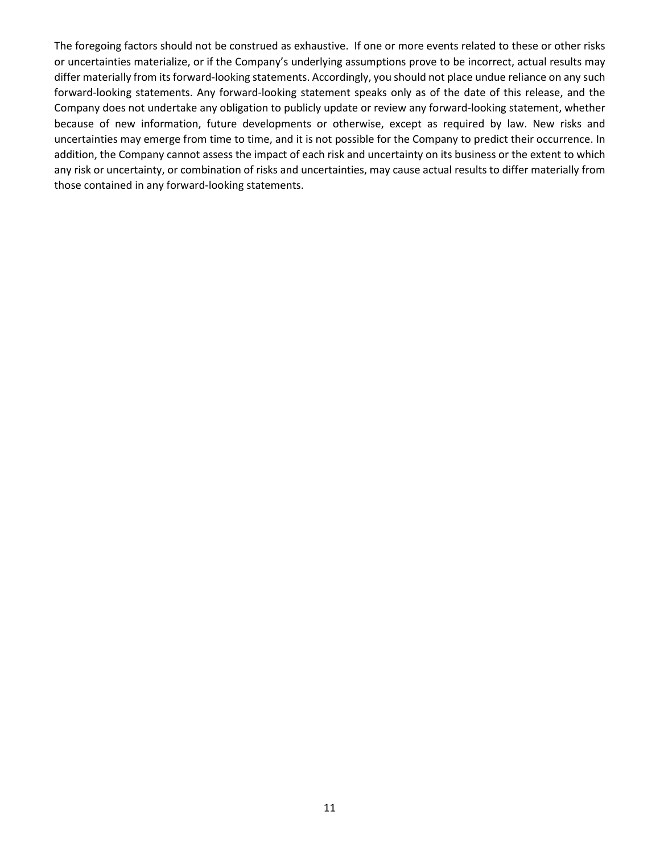The foregoing factors should not be construed as exhaustive. If one or more events related to these or other risks or uncertainties materialize, or if the Company's underlying assumptions prove to be incorrect, actual results may differ materially from its forward-looking statements. Accordingly, you should not place undue reliance on any such forward-looking statements. Any forward-looking statement speaks only as of the date of this release, and the Company does not undertake any obligation to publicly update or review any forward-looking statement, whether because of new information, future developments or otherwise, except as required by law. New risks and uncertainties may emerge from time to time, and it is not possible for the Company to predict their occurrence. In addition, the Company cannot assess the impact of each risk and uncertainty on its business or the extent to which any risk or uncertainty, or combination of risks and uncertainties, may cause actual results to differ materially from those contained in any forward-looking statements.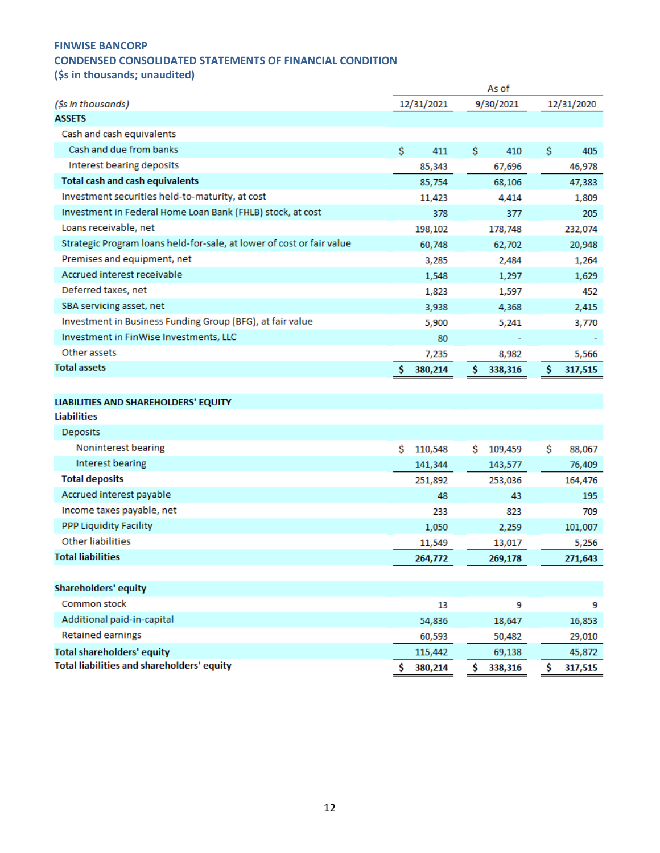# **CONDENSED CONSOLIDATED STATEMENTS OF FINANCIAL CONDITION**

**(\$s in thousands; unaudited)** 

|                                                                       | As of         |              |              |  |  |  |  |  |
|-----------------------------------------------------------------------|---------------|--------------|--------------|--|--|--|--|--|
| (\$s in thousands)                                                    | 12/31/2021    | 9/30/2021    | 12/31/2020   |  |  |  |  |  |
| ASSETS                                                                |               |              |              |  |  |  |  |  |
| Cash and cash equivalents                                             |               |              |              |  |  |  |  |  |
| Cash and due from banks                                               | \$<br>411     | \$<br>410    | \$<br>405    |  |  |  |  |  |
| Interest bearing deposits                                             | 85,343        | 67,696       | 46,978       |  |  |  |  |  |
| <b>Total cash and cash equivalents</b>                                | 85,754        | 68,106       | 47,383       |  |  |  |  |  |
| Investment securities held-to-maturity, at cost                       | 11,423        | 4,414        | 1,809        |  |  |  |  |  |
| Investment in Federal Home Loan Bank (FHLB) stock, at cost            | 378           | 377          | 205          |  |  |  |  |  |
| Loans receivable, net                                                 | 198,102       | 178,748      | 232,074      |  |  |  |  |  |
| Strategic Program Ioans held-for-sale, at lower of cost or fair value | 60,748        | 62,702       | 20,948       |  |  |  |  |  |
| Premises and equipment, net                                           | 3,285         | 2,484        | 1,264        |  |  |  |  |  |
| Accrued interest receivable                                           | 1,548         | 1,297        | 1,629        |  |  |  |  |  |
| Deferred taxes, net                                                   | 1,823         | 1,597        | 452          |  |  |  |  |  |
| SBA servicing asset, net                                              | 3,938         | 4,368        | 2,415        |  |  |  |  |  |
| Investment in Business Funding Group (BFG), at fair value             | 5,900         | 5,241        | 3,770        |  |  |  |  |  |
| Investment in FinWise Investments, LLC                                | 80            |              |              |  |  |  |  |  |
| Other assets                                                          | 7,235         | 8,982        | 5,566        |  |  |  |  |  |
| <b>Total assets</b>                                                   | Ŝ<br>380,214  | s<br>338,316 | S<br>317,515 |  |  |  |  |  |
|                                                                       |               |              |              |  |  |  |  |  |
| LIABILITIES AND SHAREHOLDERS' EQUITY                                  |               |              |              |  |  |  |  |  |
| Liabilities                                                           |               |              |              |  |  |  |  |  |
| Deposits                                                              |               |              |              |  |  |  |  |  |
| Noninterest bearing                                                   | Ŝ.<br>110,548 | s<br>109,459 | \$<br>88,067 |  |  |  |  |  |
| Interest bearing                                                      | 141,344       | 143,577      | 76,409       |  |  |  |  |  |
| <b>Total deposits</b>                                                 | 251,892       | 253,036      | 164,476      |  |  |  |  |  |
| Accrued interest payable                                              | 48            | 43           | 195          |  |  |  |  |  |
| Income taxes payable, net                                             | 233           | 823          | 709          |  |  |  |  |  |
| <b>PPP Liquidity Facility</b>                                         | 1,050         | 2,259        | 101,007      |  |  |  |  |  |
| Other liabilities                                                     | 11,549        | 13,017       | 5,256        |  |  |  |  |  |
| <b>Total liabilities</b>                                              | 264,772       | 269,178      | 271,643      |  |  |  |  |  |
|                                                                       |               |              |              |  |  |  |  |  |
| <b>Shareholders' equity</b>                                           |               |              |              |  |  |  |  |  |
| Common stock                                                          | 13            | 9            | 9            |  |  |  |  |  |
| Additional paid-in-capital                                            | 54,836        | 18,647       | 16,853       |  |  |  |  |  |
| Retained earnings                                                     | 60,593        | 50,482       | 29,010       |  |  |  |  |  |
| <b>Total shareholders' equity</b>                                     | 115,442       | 69,138       | 45,872       |  |  |  |  |  |
| Total liabilities and shareholders' equity                            | Ŝ<br>380,214  | S<br>338,316 | s<br>317,515 |  |  |  |  |  |
|                                                                       |               |              |              |  |  |  |  |  |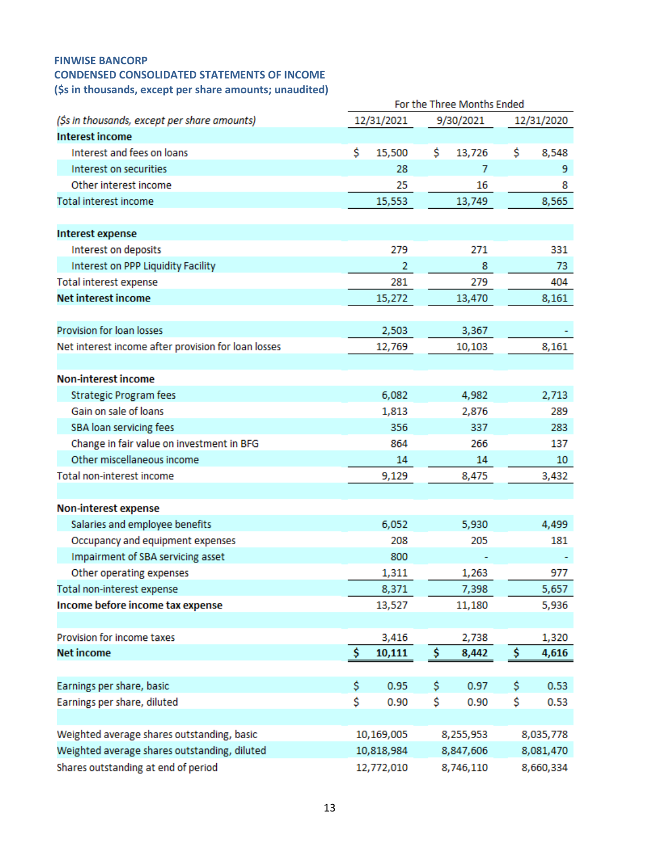## **FINWISE BANCORP CONDENSED CONSOLIDATED STATEMENTS OF INCOME (\$s in thousands, except per share amounts; unaudited)**

|                                                     |    |            | For the Three Months Ended |           |           |            |  |  |
|-----------------------------------------------------|----|------------|----------------------------|-----------|-----------|------------|--|--|
| (\$s in thousands, except per share amounts)        |    | 12/31/2021 |                            | 9/30/2021 |           | 12/31/2020 |  |  |
| <b>Interest income</b>                              |    |            |                            |           |           |            |  |  |
| Interest and fees on loans                          | Ś  | 15,500     | \$                         | 13,726    | \$        | 8,548      |  |  |
| Interest on securities                              |    | 28         |                            | 7         |           | 9          |  |  |
| Other interest income                               |    | 25         |                            | 16        |           | 8          |  |  |
| Total interest income                               |    | 15,553     |                            | 13,749    |           | 8,565      |  |  |
|                                                     |    |            |                            |           |           |            |  |  |
| <b>Interest expense</b>                             |    |            |                            |           |           |            |  |  |
| Interest on deposits                                |    | 279        |                            | 271       |           | 331        |  |  |
| Interest on PPP Liquidity Facility                  |    | 2          |                            | 8         |           | 73         |  |  |
| Total interest expense                              |    | 281        |                            | 279       |           | 404        |  |  |
| <b>Net interest income</b>                          |    | 15,272     |                            | 13,470    |           | 8,161      |  |  |
|                                                     |    |            |                            |           |           |            |  |  |
| Provision for loan losses                           |    | 2,503      |                            | 3,367     |           |            |  |  |
| Net interest income after provision for loan losses |    | 12,769     |                            | 10,103    |           | 8,161      |  |  |
|                                                     |    |            |                            |           |           |            |  |  |
| <b>Non-interest income</b>                          |    |            |                            |           |           |            |  |  |
| <b>Strategic Program fees</b>                       |    | 6,082      |                            | 4,982     |           | 2,713      |  |  |
| Gain on sale of loans                               |    | 1,813      |                            | 2,876     |           | 289        |  |  |
| SBA loan servicing fees                             |    | 356        |                            | 337       |           | 283        |  |  |
| Change in fair value on investment in BFG           |    | 864        |                            | 266       |           | 137        |  |  |
| Other miscellaneous income                          |    | 14         |                            | 14        |           | 10         |  |  |
| Total non-interest income                           |    | 9,129      |                            | 8,475     |           | 3,432      |  |  |
|                                                     |    |            |                            |           |           |            |  |  |
| Non-interest expense                                |    |            |                            |           |           |            |  |  |
| Salaries and employee benefits                      |    | 6,052      |                            | 5,930     | 4,499     |            |  |  |
| Occupancy and equipment expenses                    |    | 208        |                            | 205       |           | 181        |  |  |
| Impairment of SBA servicing asset                   |    | 800        |                            |           |           |            |  |  |
| Other operating expenses                            |    | 1,311      |                            | 1,263     |           | 977        |  |  |
| Total non-interest expense                          |    | 8,371      |                            | 7,398     |           | 5,657      |  |  |
| Income before income tax expense                    |    | 13,527     |                            | 11,180    |           | 5,936      |  |  |
|                                                     |    |            |                            |           |           |            |  |  |
| Provision for income taxes                          |    | 3,416      |                            | 2,738     |           | 1,320      |  |  |
| <b>Net income</b>                                   | \$ | 10,111     | \$                         | 8,442     | \$        | 4,616      |  |  |
|                                                     |    |            |                            |           |           |            |  |  |
| Earnings per share, basic                           | \$ | 0.95       | \$                         | 0.97      | \$        | 0.53       |  |  |
| Earnings per share, diluted                         | \$ | 0.90       | \$                         | 0.90      | \$        | 0.53       |  |  |
|                                                     |    |            |                            |           |           |            |  |  |
| Weighted average shares outstanding, basic          |    | 10,169,005 |                            | 8,255,953 |           | 8,035,778  |  |  |
| Weighted average shares outstanding, diluted        |    | 10,818,984 |                            | 8,847,606 | 8,081,470 |            |  |  |
| Shares outstanding at end of period                 |    | 12,772,010 |                            | 8,746,110 | 8,660,334 |            |  |  |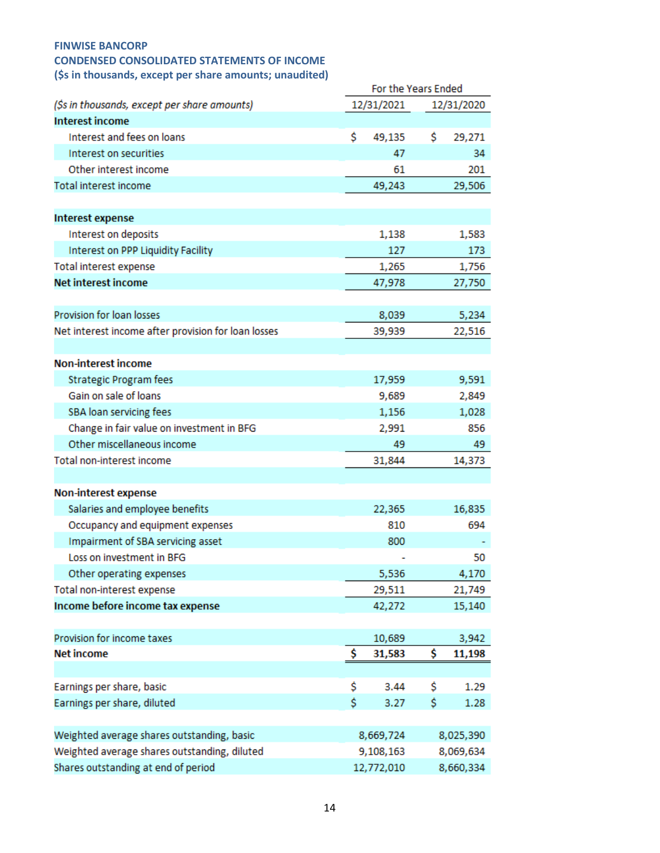### **CONDENSED CONSOLIDATED STATEMENTS OF INCOME**

**(\$s in thousands, except per share amounts; unaudited)** 

| (3) in thousands, except per share amounts, unaddited) | For the Years Ended |            |    |            |  |  |  |
|--------------------------------------------------------|---------------------|------------|----|------------|--|--|--|
| (\$s in thousands, except per share amounts)           |                     | 12/31/2021 |    | 12/31/2020 |  |  |  |
| <b>Interest income</b>                                 |                     |            |    |            |  |  |  |
| Interest and fees on loans                             | Ś                   | 49,135     | \$ | 29,271     |  |  |  |
| Interest on securities                                 |                     | 47         |    | 34         |  |  |  |
| Other interest income                                  |                     | 61         |    | 201        |  |  |  |
| Total interest income                                  |                     | 49,243     |    | 29,506     |  |  |  |
| <b>Interest expense</b>                                |                     |            |    |            |  |  |  |
| Interest on deposits                                   |                     | 1,138      |    | 1,583      |  |  |  |
| Interest on PPP Liquidity Facility                     |                     | 127        |    | 173        |  |  |  |
| Total interest expense                                 |                     | 1,265      |    | 1,756      |  |  |  |
| <b>Net interest income</b>                             |                     | 47,978     |    | 27,750     |  |  |  |
| Provision for loan losses                              |                     | 8,039      |    | 5,234      |  |  |  |
| Net interest income after provision for loan losses    |                     | 39,939     |    | 22,516     |  |  |  |
| <b>Non-interest income</b>                             |                     |            |    |            |  |  |  |
| <b>Strategic Program fees</b>                          |                     | 17,959     |    | 9,591      |  |  |  |
| Gain on sale of loans                                  |                     | 9,689      |    | 2,849      |  |  |  |
| SBA loan servicing fees                                |                     | 1,156      |    | 1,028      |  |  |  |
| Change in fair value on investment in BFG              |                     | 2,991      |    | 856        |  |  |  |
| Other miscellaneous income                             |                     | 49         |    | 49         |  |  |  |
| Total non-interest income                              |                     | 31,844     |    | 14,373     |  |  |  |
| Non-interest expense                                   |                     |            |    |            |  |  |  |
| Salaries and employee benefits                         |                     | 22,365     |    | 16,835     |  |  |  |
| Occupancy and equipment expenses                       |                     | 810        |    | 694        |  |  |  |
| Impairment of SBA servicing asset                      |                     | 800        |    |            |  |  |  |
| Loss on investment in BFG                              |                     |            |    | 50         |  |  |  |
| Other operating expenses                               |                     | 5,536      |    | 4,170      |  |  |  |
| Total non-interest expense                             |                     | 29,511     |    | 21,749     |  |  |  |
| Income before income tax expense                       |                     | 42,272     |    | 15,140     |  |  |  |
| Provision for income taxes                             |                     | 10,689     |    | 3,942      |  |  |  |
| <b>Net income</b>                                      | \$                  | 31,583     | \$ | 11,198     |  |  |  |
| Earnings per share, basic                              | \$                  | 3.44       | Ś  | 1.29       |  |  |  |
| Earnings per share, diluted                            | \$.                 | 3.27       | \$ | 1.28       |  |  |  |
| Weighted average shares outstanding, basic             |                     | 8,669,724  |    | 8,025,390  |  |  |  |
| Weighted average shares outstanding, diluted           |                     | 9,108,163  |    | 8,069,634  |  |  |  |
| Shares outstanding at end of period                    |                     | 12,772,010 |    | 8,660,334  |  |  |  |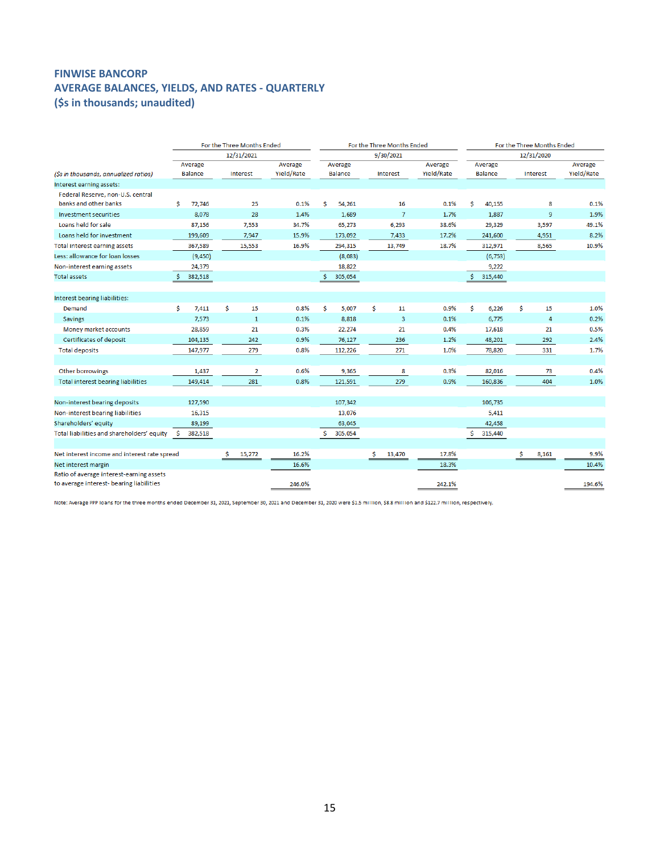## **FINWISE BANCORP AVERAGE BALANCES, YIELDS, AND RATES - QUARTERLY (\$s in thousands; unaudited)**

|                                              | For the Three Months Ended |                |    |                |  |            | For the Three Months Ended |         |     |                         |  | For the Three Months Ended |    |                |    |                |            |
|----------------------------------------------|----------------------------|----------------|----|----------------|--|------------|----------------------------|---------|-----|-------------------------|--|----------------------------|----|----------------|----|----------------|------------|
|                                              |                            |                |    | 12/31/2021     |  |            |                            |         |     | 9/30/2021               |  |                            |    |                |    | 12/31/2020     |            |
|                                              |                            | Average        |    |                |  | Average    |                            | Average |     |                         |  | Average                    |    | Average        |    |                | Average    |
| (\$s in thousands, annualized ratios)        |                            | <b>Balance</b> |    | Interest       |  | Yield/Rate |                            | Balance |     | <b>Interest</b>         |  | Yield/Rate                 |    | <b>Balance</b> |    | Interest       | Yield/Rate |
| Interest earning assets:                     |                            |                |    |                |  |            |                            |         |     |                         |  |                            |    |                |    |                |            |
| Federal Reserve, non-U.S. central            |                            |                |    |                |  |            |                            |         |     |                         |  |                            |    |                |    |                |            |
| banks and other banks                        | \$                         | 72,746         |    | 25             |  | 0.1%       | \$                         | 54,261  |     | 16                      |  | 0.1%                       | \$ | 40,155         |    | 8              | 0.1%       |
| <b>Investment securities</b>                 |                            | 8,078          |    | 28             |  | 1.4%       |                            | 1,689   |     | $\overline{7}$          |  | 1.7%                       |    | 1,887          |    | 9              | 1.9%       |
| Loans held for sale                          |                            | 87,156         |    | 7,553          |  | 34.7%      |                            | 65,273  |     | 6,293                   |  | 38.6%                      |    | 29,329         |    | 3,597          | 49.1%      |
| Loans held for investment                    |                            | 199,609        |    | 7,947          |  | 15.9%      |                            | 173,092 |     | 7,433                   |  | 17.2%                      |    | 241,600        |    | 4,951          | 8.2%       |
| Total interest earning assets                |                            | 367,589        |    | 15,553         |  | 16.9%      |                            | 294,315 |     | 13,749                  |  | 18.7%                      |    | 312,971        |    | 8,565          | 10.9%      |
| Less: allowance for loan losses              |                            | (9,450)        |    |                |  |            |                            | (8,083) |     |                         |  |                            |    | (6, 753)       |    |                |            |
| Non-interest earning assets                  |                            | 24,379         |    |                |  |            |                            | 18,822  |     |                         |  |                            |    | 9,222          |    |                |            |
| <b>Total assets</b>                          |                            | 382,518        |    |                |  |            | Ŝ.                         | 305,054 |     |                         |  |                            | s  | 315,440        |    |                |            |
|                                              |                            |                |    |                |  |            |                            |         |     |                         |  |                            |    |                |    |                |            |
| Interest bearing liabilities:                |                            |                |    |                |  |            |                            |         |     |                         |  |                            |    |                |    |                |            |
| Demand                                       | \$                         | 7,411          | \$ | 15             |  | 0.8%       | \$                         | 5,007   | \$  | 11                      |  | 0.9%                       | \$ | 6,226          | \$ | 15             | 1.0%       |
| <b>Savings</b>                               |                            | 7,573          |    | $\mathbf{1}$   |  | 0.1%       |                            | 8,818   |     | $\overline{\mathbf{3}}$ |  | 0.1%                       |    | 6.775          |    | $\overline{4}$ | 0.2%       |
| Money market accounts                        |                            | 28,859         |    | 21             |  | 0.3%       |                            | 22,274  |     | 21                      |  | 0.4%                       |    | 17,618         |    | 21             | 0.5%       |
| Certificates of deposit                      |                            | 104,135        |    | 242            |  | 0.9%       |                            | 76,127  |     | 236                     |  | 1.2%                       |    | 48,201         |    | 292            | 2.4%       |
| <b>Total deposits</b>                        |                            | 147,977        |    | 279            |  | 0.8%       |                            | 112,226 |     | 271                     |  | 1.0%                       |    | 78,820         |    | 331            | 1.7%       |
|                                              |                            |                |    |                |  |            |                            |         |     |                         |  |                            |    |                |    |                |            |
| Other borrowings                             |                            | 1,437          |    | $\overline{2}$ |  | 0.6%       |                            | 9,365   |     | 8                       |  | 0.3%                       |    | 82,016         |    | 73             | 0.4%       |
| Total interest bearing liabilities           |                            | 149,414        |    | 281            |  | 0.8%       |                            | 121,591 |     | 279                     |  | 0.9%                       |    | 160,836        |    | 404            | 1.0%       |
|                                              |                            |                |    |                |  |            |                            |         |     |                         |  |                            |    |                |    |                |            |
| Non-interest bearing deposits                |                            | 127,590        |    |                |  |            |                            | 107,342 |     |                         |  |                            |    | 106,735        |    |                |            |
| Non-interest bearing liabilities             |                            | 16,315         |    |                |  |            |                            | 13,076  |     |                         |  |                            |    | 5,411          |    |                |            |
| Shareholders' equity                         |                            | 89,199         |    |                |  |            |                            | 63,045  |     |                         |  |                            |    | 42,458         |    |                |            |
| Total liabilities and shareholders' equity   | Ŝ.                         | 382,518        |    |                |  |            | Ś                          | 305,054 |     |                         |  |                            | Ŝ  | 315,440        |    |                |            |
|                                              |                            |                |    |                |  |            |                            |         |     |                         |  |                            |    |                |    |                |            |
| Net interest income and interest rate spread |                            |                | Ŝ. | 15,272         |  | 16.2%      |                            |         | \$. | 13,470                  |  | 17.8%                      |    |                | \$ | 8,161          | 9.9%       |
| Net interest margin                          |                            |                |    |                |  | 16.6%      |                            |         |     |                         |  | 18.3%                      |    |                |    |                | 10.4%      |
| Ratio of average interest-earning assets     |                            |                |    |                |  |            |                            |         |     |                         |  |                            |    |                |    |                |            |
| to average interest- bearing liabilities     |                            |                |    |                |  | 246.0%     |                            |         |     |                         |  | 242.1%                     |    |                |    |                | 194.6%     |

Note: Average PPP loans for the three months ended December 31, 2021, September 30, 2021 and December 31, 2020 were \$1.5 million, \$8.8 million and \$122.7 million, respectively.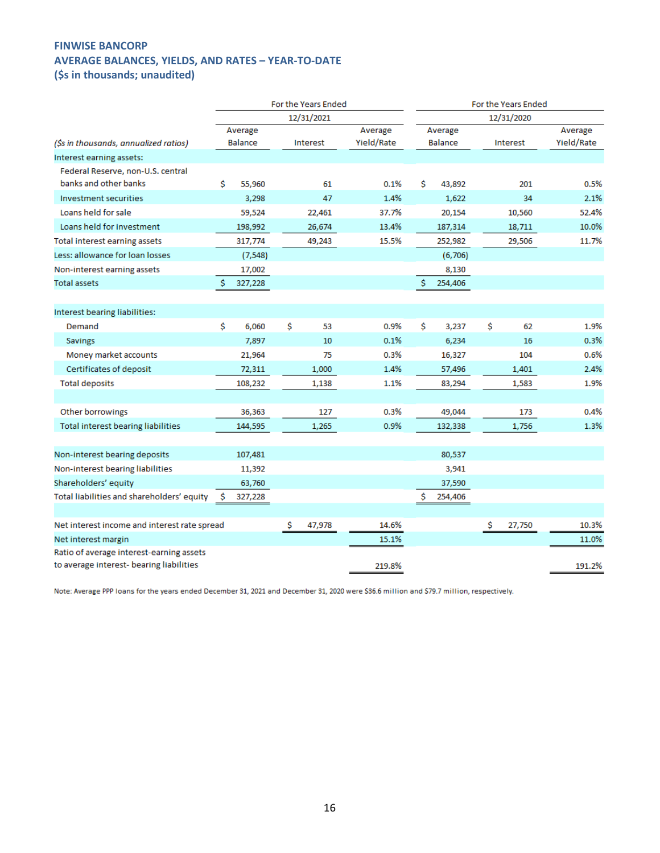### **FINWISE BANCORP AVERAGE BALANCES, YIELDS, AND RATES – YEAR-TO-DATE (\$s in thousands; unaudited)**

|                                              | For the Years Ended |    |            |            |    | For the Years Ended |    |            |            |  |  |
|----------------------------------------------|---------------------|----|------------|------------|----|---------------------|----|------------|------------|--|--|
|                                              |                     |    | 12/31/2021 |            |    |                     |    | 12/31/2020 |            |  |  |
|                                              | Average             |    |            | Average    |    | Average             |    |            | Average    |  |  |
| (\$s in thousands, annualized ratios)        | Balance             |    | Interest   | Yield/Rate |    | <b>Balance</b>      |    | Interest   | Yield/Rate |  |  |
| Interest earning assets:                     |                     |    |            |            |    |                     |    |            |            |  |  |
| Federal Reserve, non-U.S. central            |                     |    |            |            |    |                     |    |            |            |  |  |
| banks and other banks                        | Ś<br>55,960         |    | 61         | 0.1%       | Ś  | 43,892              |    | 201        | 0.5%       |  |  |
| Investment securities                        | 3,298               |    | 47         | 1.4%       |    | 1,622               |    | 34         | 2.1%       |  |  |
| Loans held for sale                          | 59,524              |    | 22,461     | 37.7%      |    | 20,154              |    | 10,560     | 52.4%      |  |  |
| Loans held for investment                    | 198,992             |    | 26,674     | 13.4%      |    | 187,314             |    | 18,711     | 10.0%      |  |  |
| Total interest earning assets                | 317,774             |    | 49,243     | 15.5%      |    | 252,982             |    | 29,506     | 11.7%      |  |  |
| Less: allowance for loan losses              | (7, 548)            |    |            |            |    | (6,706)             |    |            |            |  |  |
| Non-interest earning assets                  | 17,002              |    |            |            |    | 8,130               |    |            |            |  |  |
| <b>Total assets</b>                          | Ś<br>327,228        |    |            |            | Ś  | 254,406             |    |            |            |  |  |
|                                              |                     |    |            |            |    |                     |    |            |            |  |  |
| Interest bearing liabilities:                |                     |    |            |            |    |                     |    |            |            |  |  |
| Demand                                       | \$<br>6,060         | Ś  | 53         | 0.9%       | Ś. | 3,237               | Ś  | 62         | 1.9%       |  |  |
| <b>Savings</b>                               | 7,897               |    | 10         | 0.1%       |    | 6,234               |    | 16         | 0.3%       |  |  |
| Money market accounts                        | 21,964              |    | 75         | 0.3%       |    | 16,327              |    | 104        | 0.6%       |  |  |
| Certificates of deposit                      | 72,311              |    | 1,000      | 1.4%       |    | 57,496              |    | 1,401      | 2.4%       |  |  |
| <b>Total deposits</b>                        | 108,232             |    | 1,138      | 1.1%       |    | 83,294              |    | 1,583      | 1.9%       |  |  |
|                                              |                     |    |            |            |    |                     |    |            |            |  |  |
| Other borrowings                             | 36,363              |    | 127        | 0.3%       |    | 49,044              |    | 173        | 0.4%       |  |  |
| Total interest bearing liabilities           | 144,595             |    | 1,265      | 0.9%       |    | 132,338             |    | 1,756      | 1.3%       |  |  |
|                                              |                     |    |            |            |    |                     |    |            |            |  |  |
| Non-interest bearing deposits                | 107,481             |    |            |            |    | 80,537              |    |            |            |  |  |
| Non-interest bearing liabilities             | 11,392              |    |            |            |    | 3,941               |    |            |            |  |  |
| Shareholders' equity                         | 63,760              |    |            |            |    | 37,590              |    |            |            |  |  |
| Total liabilities and shareholders' equity   | 327,228<br>s        |    |            |            | \$ | 254,406             |    |            |            |  |  |
|                                              |                     |    |            |            |    |                     |    |            |            |  |  |
| Net interest income and interest rate spread |                     | \$ | 47,978     | 14.6%      |    |                     | \$ | 27,750     | 10.3%      |  |  |
| Net interest margin                          |                     |    |            | 15.1%      |    |                     |    |            | 11.0%      |  |  |
| Ratio of average interest-earning assets     |                     |    |            |            |    |                     |    |            |            |  |  |
| to average interest- bearing liabilities     |                     |    |            | 219.8%     |    |                     |    |            | 191.2%     |  |  |

Note: Average PPP loans for the years ended December 31, 2021 and December 31, 2020 were \$36.6 million and \$79.7 million, respectively.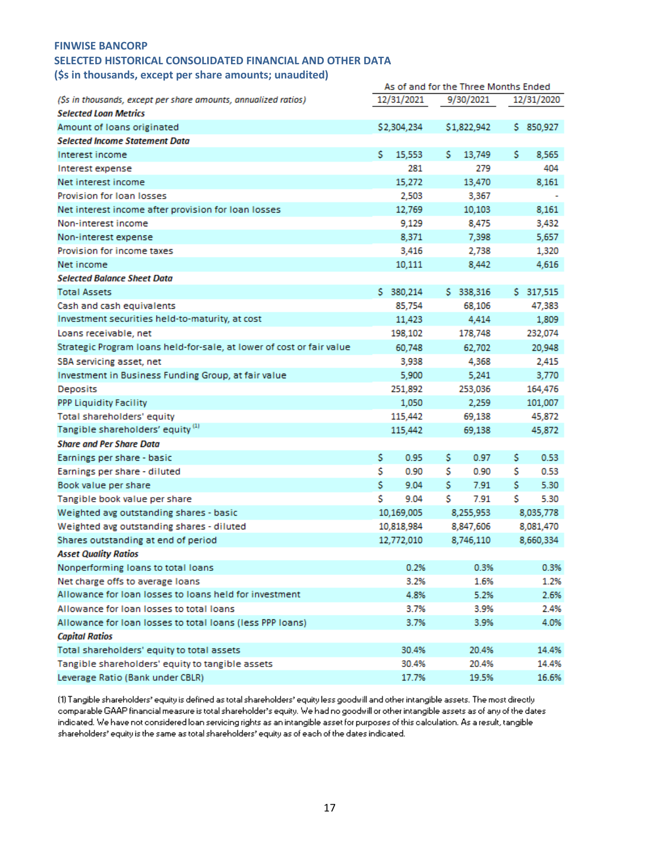## **SELECTED HISTORICAL CONSOLIDATED FINANCIAL AND OTHER DATA**

**(\$s in thousands, except per share amounts; unaudited)** 

|                                                                       | As of and for the Three Months Ended |             |    |             |    |            |
|-----------------------------------------------------------------------|--------------------------------------|-------------|----|-------------|----|------------|
| (Ss in thousands, except per share amounts, annualized ratios)        |                                      | 12/31/2021  |    | 9/30/2021   |    | 12/31/2020 |
| <b>Selected Loan Metrics</b>                                          |                                      |             |    |             |    |            |
| Amount of Ioans originated                                            |                                      | \$2,304,234 |    | \$1,822,942 |    | \$ 850,927 |
| <b>Selected Income Statement Data</b>                                 |                                      |             |    |             |    |            |
| Interest income                                                       | s.                                   | 15,553      | s  | 13,749      | s  | 8,565      |
| Interest expense                                                      |                                      | 281         |    | 279         |    | 404        |
| Net interest income                                                   |                                      | 15,272      |    | 13,470      |    | 8,161      |
| Provision for Ioan Iosses                                             |                                      | 2,503       |    | 3,367       |    |            |
| Net interest income after provision for loan losses                   |                                      | 12,769      |    | 10,103      |    | 8,161      |
| Non-interest income                                                   |                                      | 9,129       |    | 8,475       |    | 3,432      |
| Non-interest expense                                                  |                                      | 8,371       |    | 7,398       |    | 5,657      |
| Provision for income taxes                                            |                                      | 3,416       |    | 2,738       |    | 1,320      |
| Net income                                                            |                                      | 10,111      |    | 8,442       |    | 4,616      |
| Selected Balance Sheet Data                                           |                                      |             |    |             |    |            |
| <b>Total Assets</b>                                                   |                                      | \$ 380,214  |    | \$ 338,316  |    | \$ 317,515 |
| Cash and cash equivalents                                             |                                      | 85,754      |    | 68,106      |    | 47,383     |
| Investment securities held-to-maturity, at cost                       |                                      | 11,423      |    | 4,414       |    | 1,809      |
| Loans receivable, net                                                 |                                      | 198,102     |    | 178,748     |    | 232,074    |
| Strategic Program Ioans held-for-sale, at lower of cost or fair value |                                      | 60,748      |    | 62,702      |    | 20,948     |
| SBA servicing asset, net                                              |                                      | 3,938       |    | 4,368       |    | 2,415      |
| Investment in Business Funding Group, at fair value                   |                                      | 5,900       |    | 5,241       |    | 3,770      |
| Deposits                                                              |                                      | 251,892     |    | 253,036     |    | 164,476    |
| <b>PPP Liquidity Facility</b>                                         |                                      | 1,050       |    | 2,259       |    | 101,007    |
| Total shareholders' equity                                            |                                      | 115,442     |    | 69,138      |    | 45,872     |
| Tangible shareholders' equity <sup>(1)</sup>                          |                                      | 115,442     |    | 69,138      |    | 45,872     |
| <b>Share and Per Share Data</b>                                       |                                      |             |    |             |    |            |
| Earnings per share - basic                                            | \$                                   | 0.95        | s  | 0.97        | s  | 0.53       |
| Earnings per share - diluted                                          | \$                                   | 0.90        | s  | 0.90        | s  | 0.53       |
| Book value per share                                                  | \$                                   | 9.04        | \$ | 7.91        | \$ | 5.30       |
| Tangible book value per share                                         | \$                                   | 9.04        | Ś  | 7.91        | S  | 5.30       |
| Weighted avg outstanding shares - basic                               |                                      | 10,169,005  |    | 8,255,953   |    | 8,035,778  |
| Weighted avg outstanding shares - diluted                             |                                      | 10,818,984  |    | 8,847,606   |    | 8,081,470  |
| Shares outstanding at end of period                                   |                                      | 12,772,010  |    | 8,746,110   |    | 8,660,334  |
| <b>Asset Quality Ratios</b>                                           |                                      |             |    |             |    |            |
| Nonperforming loans to total loans                                    |                                      | 0.2%        |    | 0.3%        |    | 0.3%       |
| Net charge offs to average loans                                      |                                      | 3.2%        |    | 1.6%        |    | 1.2%       |
| Allowance for loan losses to loans held for investment                |                                      | 4.8%        |    | 5.2%        |    | 2.6%       |
| Allowance for loan losses to total loans                              |                                      | 3.7%        |    | 3.9%        |    | 2.4%       |
| Allowance for loan losses to total loans (less PPP loans)             |                                      | 3.7%        |    | 3.9%        |    | 4.0%       |
| <b>Capital Ratios</b>                                                 |                                      |             |    |             |    |            |
| Total shareholders' equity to total assets                            |                                      | 30.4%       |    | 20.4%       |    | 14.4%      |
| Tangible shareholders' equity to tangible assets                      |                                      | 30.4%       |    | 20.4%       |    | 14.4%      |
| Leverage Ratio (Bank under CBLR)                                      |                                      | 17.7%       |    | 19.5%       |    | 16.6%      |

(1) Tangible shareholders' equity is defined as total shareholders' equity less goodwill and other intangible assets. The most directly comparable GAAP financial measure is total shareholder's equity. We had no goodwill or other intangible assets as of any of the dates indicated. We have not considered loan servicing rights as an intangible asset for purposes of this calculation. As a result, tangible shareholders' equity is the same as total shareholders' equity as of each of the dates indicated.